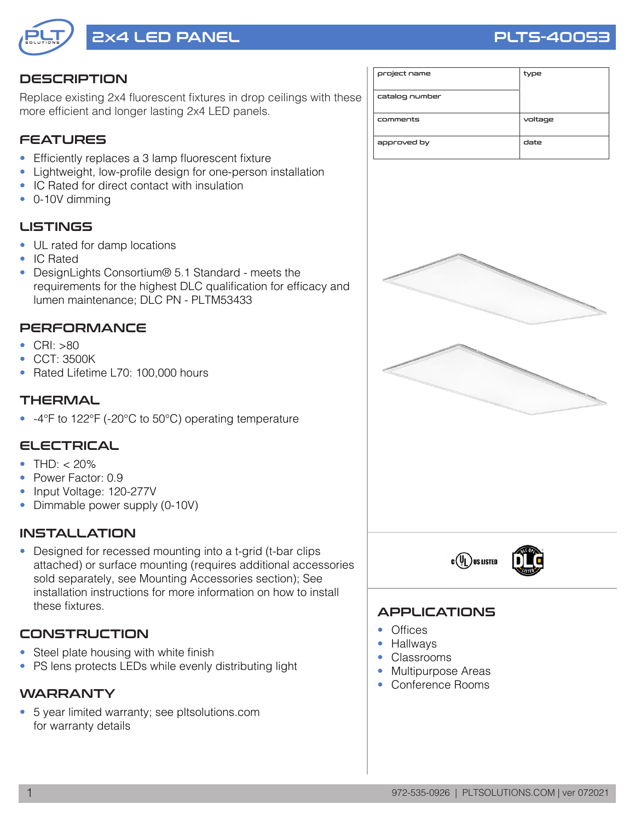

# 2x4 LED PANEL PRODUCED AND RELATED AND RELATED AND PUTS-40053

#### **DESCRIPTION**

Replace existing 2x4 fluorescent fixtures in drop ceilings with these more efficient and longer lasting 2x4 LED panels.

## **FEATURES**

- Efficiently replaces a 3 lamp fluorescent fixture
- Lightweight, low-profile design for one-person installation
- IC Rated for direct contact with insulation
- 0-10V dimming

#### **LISTINGS**

- UL rated for damp locations
- IC Rated
- DesignLights Consortium® 5.1 Standard meets the requirements for the highest DLC qualification for efficacy and lumen maintenance; DLC PN - PLTM53433

#### **PERFORMANCE**

- CRI: >80
- CCT: 3500K
- Rated Lifetime L70: 100,000 hours

#### **THERMAL**

• -4°F to 122°F (-20°C to 50°C) operating temperature

#### ELECTRICAL

- THD:  $<$  20%
- Power Factor: 0.9
- Input Voltage: 120-277V
- Dimmable power supply (0-10V)

#### INSTALLATION

• Designed for recessed mounting into a t-grid (t-bar clips attached) or surface mounting (requires additional accessories sold separately, see Mounting Accessories section); See installation instructions for more information on how to install these fixtures.

#### **CONSTRUCTION**

- Steel plate housing with white finish
- PS lens protects LEDs while evenly distributing light

#### **WARRANTY**

• 5 year limited warranty; see pltsolutions.com for warranty details

| project name   | type    |
|----------------|---------|
| catalog number |         |
| comments       | voltage |
| approved by    | date    |





### APPLICATIONS

- Offices
- Hallways
- Classrooms
- Multipurpose Areas
- Conference Rooms